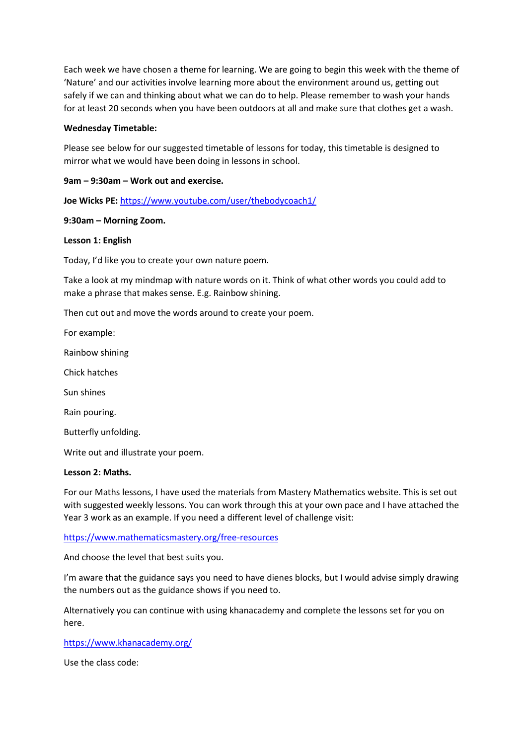Each week we have chosen a theme for learning. We are going to begin this week with the theme of 'Nature' and our activities involve learning more about the environment around us, getting out safely if we can and thinking about what we can do to help. Please remember to wash your hands for at least 20 seconds when you have been outdoors at all and make sure that clothes get a wash.

#### **Wednesday Timetable:**

Please see below for our suggested timetable of lessons for today, this timetable is designed to mirror what we would have been doing in lessons in school.

## **9am – 9:30am – Work out and exercise.**

**Joe Wicks PE:** <https://www.youtube.com/user/thebodycoach1/>

#### **9:30am – Morning Zoom.**

#### **Lesson 1: English**

Today, I'd like you to create your own nature poem.

Take a look at my mindmap with nature words on it. Think of what other words you could add to make a phrase that makes sense. E.g. Rainbow shining.

Then cut out and move the words around to create your poem.

For example:

Rainbow shining

Chick hatches

Sun shines

Rain pouring.

Butterfly unfolding.

Write out and illustrate your poem.

#### **Lesson 2: Maths.**

For our Maths lessons, I have used the materials from Mastery Mathematics website. This is set out with suggested weekly lessons. You can work through this at your own pace and I have attached the Year 3 work as an example. If you need a different level of challenge visit:

<https://www.mathematicsmastery.org/free-resources>

And choose the level that best suits you.

I'm aware that the guidance says you need to have dienes blocks, but I would advise simply drawing the numbers out as the guidance shows if you need to.

Alternatively you can continue with using khanacademy and complete the lessons set for you on here.

<https://www.khanacademy.org/>

Use the class code: